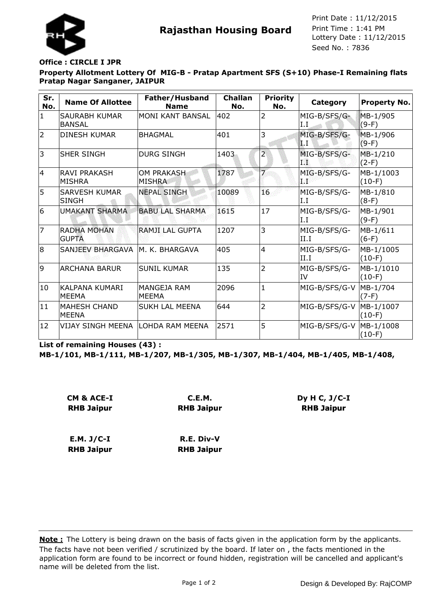

**Rajasthan Housing Board** Print Time : 1:41 PM<br>Lottery Date : 11/12/2015 Seed No. : 7836 Print Date : 11/12/2015 Print Time : 1:41 PM

## **Office : CIRCLE I JPR**

**Property Allotment Lottery Of MIG-B - Pratap Apartment SFS (S+10) Phase-I Remaining flats Pratap Nagar Sanganer, JAIPUR**

| Sr.<br>No.     | <b>Name Of Allottee</b>              | Father/Husband<br><b>Name</b>      | <b>Challan</b><br>No. | <b>Priority</b><br>No. | Category                  | Property No.          |
|----------------|--------------------------------------|------------------------------------|-----------------------|------------------------|---------------------------|-----------------------|
| $\mathbf{1}$   | SAURABH KUMAR<br><b>BANSAL</b>       | MONI KANT BANSAL                   | 402                   | $\overline{2}$         | MIG-B/SFS/G-<br>I.I       | MB-1/905<br>$(9-F)$   |
| $\overline{2}$ | <b>DINESH KUMAR</b>                  | <b>BHAGMAL</b>                     | 401                   | 3                      | MIG-B/SFS/G-<br>1 I       | MB-1/906<br>$(9-F)$   |
| 3              | <b>SHER SINGH</b>                    | <b>DURG SINGH</b>                  | 1403                  | $\overline{2}$         | MIG-B/SFS/G-<br>TŸ.       | MB-1/210<br>$(2-F)$   |
| 4              | <b>RAVI PRAKASH</b><br><b>MISHRA</b> | <b>OM PRAKASH</b><br><b>MISHRA</b> | 1787                  | $\overline{7}$         | MIG-B/SFS/G-<br>d B       | MB-1/1003<br>$(10-F)$ |
| 5              | <b>SARVESH KUMAR</b><br><b>SINGH</b> | <b>NEPAL SINGH</b>                 | 10089                 | 16                     | MIG-B/SFS/G-<br>I.I       | MB-1/810<br>$(8-F)$   |
| 6              | <b>UMAKANT SHARMA</b>                | <b>BABU LAL SHARMA</b>             | 1615                  | 17                     | MIG-B/SFS/G-<br>I.I       | MB-1/901<br>$(9-F)$   |
| $\overline{7}$ | <b>RADHA MOHAN</b><br><b>GUPTA</b>   | <b>RAMJI LAL GUPTA</b>             | 1207                  | 3                      | MIG-B/SFS/G-<br>II.I      | MB-1/611<br>$(6-F)$   |
| 8              | SANJEEV BHARGAVA                     | lm. K. BHARGAVA                    | 405                   | 4                      | MIG-B/SFS/G-<br>II.I      | MB-1/1005<br>$(10-F)$ |
| 9              | <b>ARCHANA BARUR</b>                 | <b>SUNIL KUMAR</b>                 | 135                   | $\overline{2}$         | MIG-B/SFS/G-<br><b>IV</b> | MB-1/1010<br>$(10-F)$ |
| 10             | KALPANA KUMARI<br><b>MEEMA</b>       | MANGEJA RAM<br><b>MEEMA</b>        | 2096                  | $\mathbf{1}$           | MIG-B/SFS/G-V             | MB-1/704<br>$(7-F)$   |
| 11             | <b>MAHESH CHAND</b><br><b>MEENA</b>  | <b>SUKH LAL MEENA</b>              | 644                   | $\overline{2}$         | MIG-B/SFS/G-V             | MB-1/1007<br>$(10-F)$ |
| 12             | VIJAY SINGH MEENA                    | LOHDA RAM MEENA                    | 2571                  | 5                      | MIG-B/SFS/G-V             | MB-1/1008<br>$(10-F)$ |

**List of remaining Houses (43) :**

**MB-1/101, MB-1/111, MB-1/207, MB-1/305, MB-1/307, MB-1/404, MB-1/405, MB-1/408,**

| CM & ACE-I        | C.E.M.            |  |  |
|-------------------|-------------------|--|--|
| <b>RHB Jaipur</b> | <b>RHB Jaipur</b> |  |  |
| $E.M. J/C-I$      | R.E. Div-V        |  |  |

**RHB Jaipur RHB Jaipur**

The facts have not been verified / scrutinized by the board. If later on , the facts mentioned in the application form are found to be incorrect or found hidden, registration will be cancelled and applicant's name will be deleted from the list. **Note :** The Lottery is being drawn on the basis of facts given in the application form by the applicants.

**Dy H C, J/C-I RHB Jaipur**